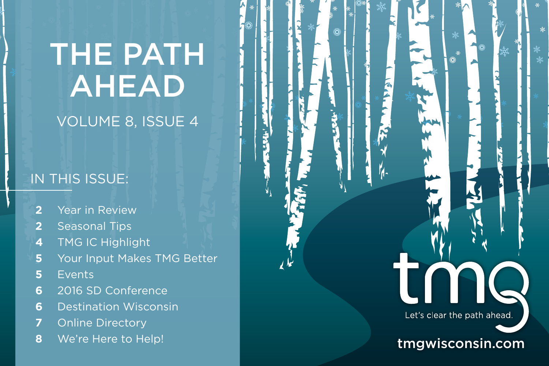# THE PATH AHEAD

# VOLUME 8, ISSUE 4

### IN THIS ISSUE:

- **2** Year in Review
- **2** Seasonal Tips
- **4** TMG IC Highlight
- **5** Your Input Makes TMG Better

tmgwisconsin.com

Let's clear the path ahead.

LNN

鐖

- **5** Events
- **6** 2016 SD Conference
- **6** Destination Wisconsin
- **7** Online Directory
- **8** We're Here to Help!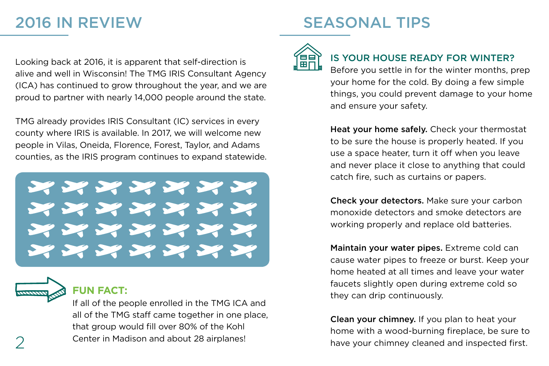### 2016 IN REVIEW

# SEASONAL TIPS

Looking back at 2016, it is apparent that self-direction is alive and well in Wisconsin! The TMG IRIS Consultant Agency (ICA) has continued to grow throughout the year, and we are proud to partner with nearly 14,000 people around the state.

TMG already provides IRIS Consultant (IC) services in every county where IRIS is available. In 2017, we will welcome new people in Vilas, Oneida, Florence, Forest, Taylor, and Adams counties, as the IRIS program continues to expand statewide.

XXXXXXX XXXXXX XXXXXX XXXXXXX



### **FUN FACT:**

If all of the people enrolled in the TMG ICA and all of the TMG staff came together in one place, that group would fill over 80% of the Kohl  $\gamma$  Center in Madison and about 28 airplanes!



### IS YOUR HOUSE READY FOR WINTER?

Before you settle in for the winter months, prep your home for the cold. By doing a few simple things, you could prevent damage to your home and ensure your safety.

Heat your home safely. Check your thermostat to be sure the house is properly heated. If you use a space heater, turn it off when you leave and never place it close to anything that could catch fire, such as curtains or papers.

Check your detectors. Make sure your carbon monoxide detectors and smoke detectors are working properly and replace old batteries.

Maintain your water pipes. Extreme cold can cause water pipes to freeze or burst. Keep your home heated at all times and leave your water faucets slightly open during extreme cold so they can drip continuously.

Clean your chimney. If you plan to heat your home with a wood-burning fireplace, be sure to have your chimney cleaned and inspected first.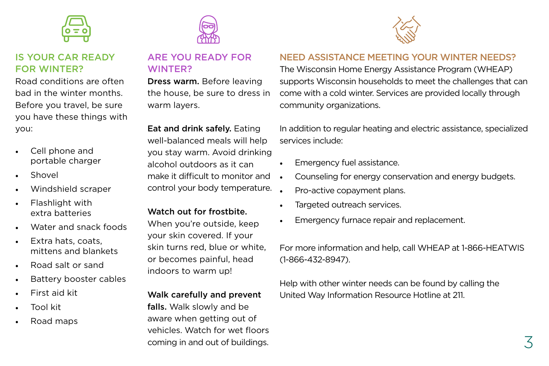

### IS YOUR CAR READY FOR WINTER?

Road conditions are often bad in the winter months. Before you travel, be sure you have these things with you:

- Cell phone and portable charger
- Shovel
- Windshield scraper
- Flashlight with extra batteries
- Water and snack foods
- Extra hats, coats, mittens and blankets
- Road salt or sand
- Battery booster cables
- First aid kit
- Tool kit
- Road maps



### ARE YOU READY FOR WINTER?

Dress warm. Before leaving the house, be sure to dress in warm layers.

Eat and drink safely. Eating well-balanced meals will help you stay warm. Avoid drinking alcohol outdoors as it can make it difficult to monitor and control your body temperature.

#### Watch out for frostbite.

When you're outside, keep your skin covered. If your skin turns red, blue or white, or becomes painful, head indoors to warm up!

#### Walk carefully and prevent

falls. Walk slowly and be aware when getting out of vehicles. Watch for wet floors coming in and out of buildings.



### NEED ASSISTANCE MEETING YOUR WINTER NEEDS?

The Wisconsin Home Energy Assistance Program (WHEAP) supports Wisconsin households to meet the challenges that can come with a cold winter. Services are provided locally through community organizations.

In addition to regular heating and electric assistance, specialized services include:

- Emergency fuel assistance.
- Counseling for energy conservation and energy budgets.
- Pro-active copayment plans.
- Targeted outreach services.
- Emergency furnace repair and replacement.

For more information and help, call WHEAP at 1-866-HEATWIS (1-866-432-8947).

Help with other winter needs can be found by calling the United Way Information Resource Hotline at 211.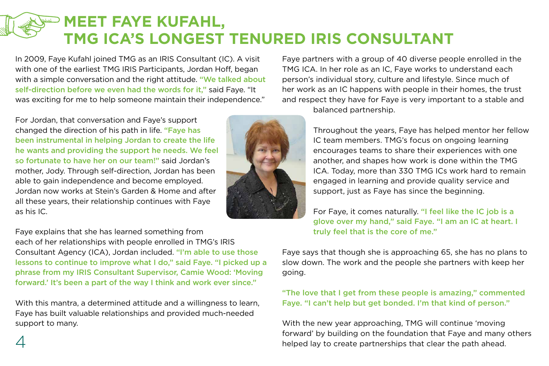# **MEET FAYE KUFAHL, TMG ICA'S LONGEST TENURED IRIS CONSULTANT**

In 2009, Faye Kufahl joined TMG as an IRIS Consultant (IC). A visit with one of the earliest TMG IRIS Participants, Jordan Hoff, began with a simple conversation and the right attitude. "We talked about self-direction before we even had the words for it," said Faye. "It was exciting for me to help someone maintain their independence."

For Jordan, that conversation and Faye's support changed the direction of his path in life. "Faye has been instrumental in helping Jordan to create the life he wants and providing the support he needs. We feel so fortunate to have her on our team!" said Jordan's mother, Jody. Through self-direction, Jordan has been able to gain independence and become employed. Jordan now works at Stein's Garden & Home and after all these years, their relationship continues with Faye as his IC.

Faye explains that she has learned something from each of her relationships with people enrolled in TMG's IRIS Consultant Agency (ICA), Jordan included. "I'm able to use those lessons to continue to improve what I do," said Faye. "I picked up a phrase from my IRIS Consultant Supervisor, Camie Wood: 'Moving forward.' It's been a part of the way I think and work ever since."

With this mantra, a determined attitude and a willingness to learn, Faye has built valuable relationships and provided much-needed support to many.



Faye partners with a group of 40 diverse people enrolled in the TMG ICA. In her role as an IC, Faye works to understand each person's individual story, culture and lifestyle. Since much of her work as an IC happens with people in their homes, the trust and respect they have for Faye is very important to a stable and balanced partnership.

> Throughout the years, Faye has helped mentor her fellow IC team members. TMG's focus on ongoing learning encourages teams to share their experiences with one another, and shapes how work is done within the TMG ICA. Today, more than 330 TMG ICs work hard to remain engaged in learning and provide quality service and support, just as Faye has since the beginning.

For Faye, it comes naturally. "I feel like the IC job is a glove over my hand," said Faye. "I am an IC at heart. I truly feel that is the core of me."

Faye says that though she is approaching 65, she has no plans to slow down. The work and the people she partners with keep her going.

"The love that I get from these people is amazing," commented Faye. "I can't help but get bonded. I'm that kind of person."

With the new year approaching, TMG will continue 'moving forward' by building on the foundation that Faye and many others helped lay to create partnerships that clear the path ahead.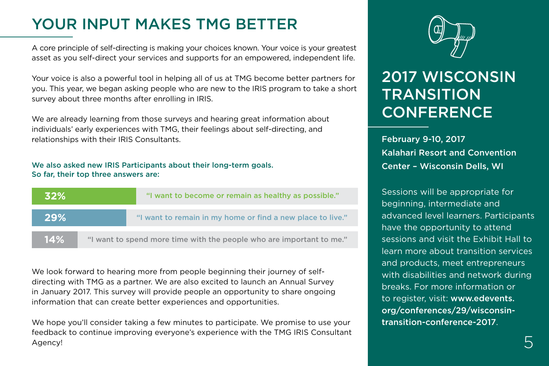# YOUR INPUT MAKES TMG BETTER

A core principle of self-directing is making your choices known. Your voice is your greatest asset as you self-direct your services and supports for an empowered, independent life.

Your voice is also a powerful tool in helping all of us at TMG become better partners for you. This year, we began asking people who are new to the IRIS program to take a short survey about three months after enrolling in IRIS.

We are already learning from those surveys and hearing great information about individuals' early experiences with TMG, their feelings about self-directing, and relationships with their IRIS Consultants.

#### We also asked new IRIS Participants about their long-term goals. So far, their top three answers are:

| <b>32%</b> | "I want to become or remain as healthy as possible."                 |
|------------|----------------------------------------------------------------------|
| 29%        | "I want to remain in my home or find a new place to live."           |
| 14%        | "I want to spend more time with the people who are important to me." |

We look forward to hearing more from people beginning their journey of selfdirecting with TMG as a partner. We are also excited to launch an Annual Survey in January 2017. This survey will provide people an opportunity to share ongoing information that can create better experiences and opportunities.

We hope you'll consider taking a few minutes to participate. We promise to use your feedback to continue improving everyone's experience with the TMG IRIS Consultant Agency!



# 2017 WISCONSIN **TRANSITION CONFERENCE**

February 9-10, 2017 Kalahari Resort and Convention Center – Wisconsin Dells, WI

Sessions will be appropriate for beginning, intermediate and advanced level learners. Participants have the opportunity to attend sessions and visit the Exhibit Hall to learn more about transition services and products, meet entrepreneurs with disabilities and network during breaks. For more information or to register, visit: www.edevents. org/conferences/29/wisconsintransition-conference-2017.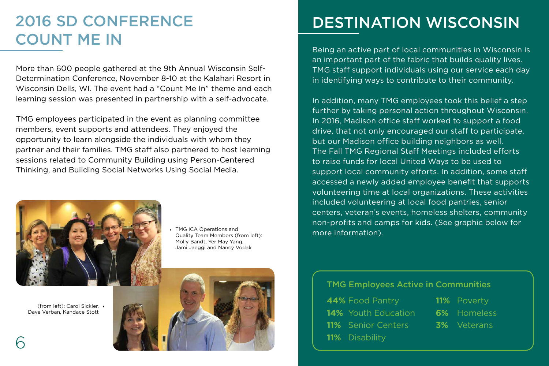### 2016 SD CONFERENCE COUNT ME IN

More than 600 people gathered at the 9th Annual Wisconsin Self-Determination Conference, November 8-10 at the Kalahari Resort in Wisconsin Dells, WI. The event had a "Count Me In" theme and each learning session was presented in partnership with a self-advocate.

TMG employees participated in the event as planning committee members, event supports and attendees. They enjoyed the opportunity to learn alongside the individuals with whom they partner and their families. TMG staff also partnered to host learning sessions related to Community Building using Person-Centered Thinking, and Building Social Networks Using Social Media.



(from left): Carol Sickler, Dave Verban, Kandace Stott

TMG ICA Operations and Quality Team Members (from left): Molly Bandt, Yer May Yang, Jami Jaeggi and Nancy Vodak



## DESTINATION WISCONSIN

Being an active part of local communities in Wisconsin is an important part of the fabric that builds quality lives. TMG staff support individuals using our service each day in identifying ways to contribute to their community.

In addition, many TMG employees took this belief a step further by taking personal action throughout Wisconsin. In 2016, Madison office staff worked to support a food drive, that not only encouraged our staff to participate, but our Madison office building neighbors as well. The Fall TMG Regional Staff Meetings included efforts to raise funds for local United Ways to be used to support local community efforts. In addition, some staff accessed a newly added employee benefit that supports volunteering time at local organizations. These activities included volunteering at local food pantries, senior centers, veteran's events, homeless shelters, community non-profits and camps for kids. (See graphic below for more information).

#### TMG Employees Active in Communities

| <b>44%</b> Food Pantry     | <b>11%</b> Poverty |
|----------------------------|--------------------|
| <b>14%</b> Youth Education | 6% Homeless        |
| <b>11%</b> Senior Centers  | <b>3%</b> Veterans |
| <b>11%</b> Disability      |                    |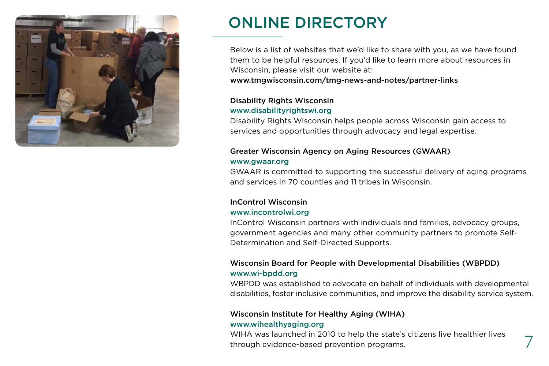

### ONLINE DIRECTORY

Below is a list of websites that we'd like to share with you, as we have found them to be helpful resources. If you'd like to learn more about resources in Wisconsin, please visit our website at:

www.tmgwisconsin.com/tmg-news-and-notes/partner-links

#### Disability Rights Wisconsin www.disabilityrightswi.org

Disability Rights Wisconsin helps people across Wisconsin gain access to services and opportunities through advocacy and legal expertise.

#### Greater Wisconsin Agency on Aging Resources (GWAAR) www.gwaar.org

GWAAR is committed to supporting the successful delivery of aging programs and services in 70 counties and 11 tribes in Wisconsin.

#### InControl Wisconsin

#### www.incontrolwi.org

InControl Wisconsin partners with individuals and families, advocacy groups, government agencies and many other community partners to promote Self-Determination and Self-Directed Supports.

#### Wisconsin Board for People with Developmental Disabilities (WBPDD) www.wi-bpdd.org

WBPDD was established to advocate on behalf of individuals with developmental disabilities, foster inclusive communities, and improve the disability service system.

#### Wisconsin Institute for Healthy Aging (WIHA) www.wihealthyaging.org

WIHA was launched in 2010 to help the state's citizens live healthier lives through evidence-based prevention programs.